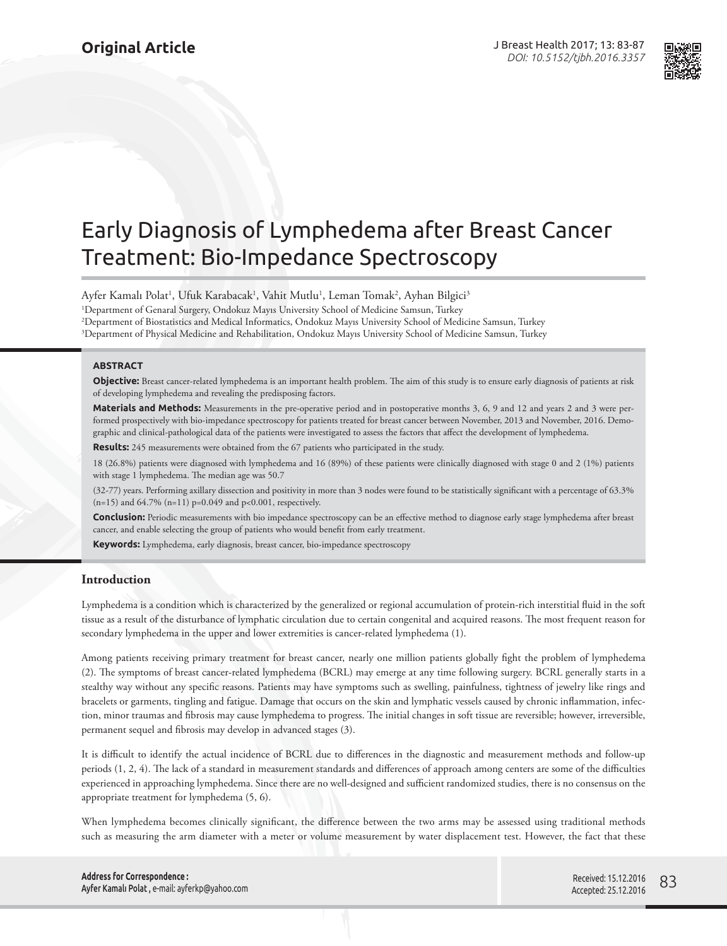

# Early Diagnosis of Lymphedema after Breast Cancer Treatment: Bio-Impedance Spectroscopy

Ayfer Kamalı Polat<sup>ı</sup>, Ufuk Karabacak<sup>ı</sup>, Vahit Mutlu<sup>ı</sup>, Leman Tomak<sup>2</sup>, Ayhan Bilgici<sup>3</sup> Department of Genaral Surgery, Ondokuz Mayıs University School of Medicine Samsun, Turkey Department of Biostatistics and Medical Informatics, Ondokuz Mayıs University School of Medicine Samsun, Turkey Department of Physical Medicine and Rehabilitation, Ondokuz Mayıs University School of Medicine Samsun, Turkey

### **ABSTRACT**

**Objective:** Breast cancer-related lymphedema is an important health problem. The aim of this study is to ensure early diagnosis of patients at risk of developing lymphedema and revealing the predisposing factors.

**Materials and Methods:** Measurements in the pre-operative period and in postoperative months 3, 6, 9 and 12 and years 2 and 3 were performed prospectively with bio-impedance spectroscopy for patients treated for breast cancer between November, 2013 and November, 2016. Demographic and clinical-pathological data of the patients were investigated to assess the factors that affect the development of lymphedema.

**Results:** 245 measurements were obtained from the 67 patients who participated in the study.

18 (26.8%) patients were diagnosed with lymphedema and 16 (89%) of these patients were clinically diagnosed with stage 0 and 2 (1%) patients with stage 1 lymphedema. The median age was 50.7

(32-77) years. Performing axillary dissection and positivity in more than 3 nodes were found to be statistically significant with a percentage of 63.3% (n=15) and 64.7% (n=11) p=0.049 and p<0.001, respectively.

**Conclusion:** Periodic measurements with bio impedance spectroscopy can be an effective method to diagnose early stage lymphedema after breast cancer, and enable selecting the group of patients who would benefit from early treatment.

**Keywords:** Lymphedema, early diagnosis, breast cancer, bio-impedance spectroscopy

### **Introduction**

Lymphedema is a condition which is characterized by the generalized or regional accumulation of protein-rich interstitial fluid in the soft tissue as a result of the disturbance of lymphatic circulation due to certain congenital and acquired reasons. The most frequent reason for secondary lymphedema in the upper and lower extremities is cancer-related lymphedema (1).

Among patients receiving primary treatment for breast cancer, nearly one million patients globally fight the problem of lymphedema (2). The symptoms of breast cancer-related lymphedema (BCRL) may emerge at any time following surgery. BCRL generally starts in a stealthy way without any specific reasons. Patients may have symptoms such as swelling, painfulness, tightness of jewelry like rings and bracelets or garments, tingling and fatigue. Damage that occurs on the skin and lymphatic vessels caused by chronic inflammation, infection, minor traumas and fibrosis may cause lymphedema to progress. The initial changes in soft tissue are reversible; however, irreversible, permanent sequel and fibrosis may develop in advanced stages (3).

It is difficult to identify the actual incidence of BCRL due to differences in the diagnostic and measurement methods and follow-up periods (1, 2, 4). The lack of a standard in measurement standards and differences of approach among centers are some of the difficulties experienced in approaching lymphedema. Since there are no well-designed and sufficient randomized studies, there is no consensus on the appropriate treatment for lymphedema (5, 6).

When lymphedema becomes clinically significant, the difference between the two arms may be assessed using traditional methods such as measuring the arm diameter with a meter or volume measurement by water displacement test. However, the fact that these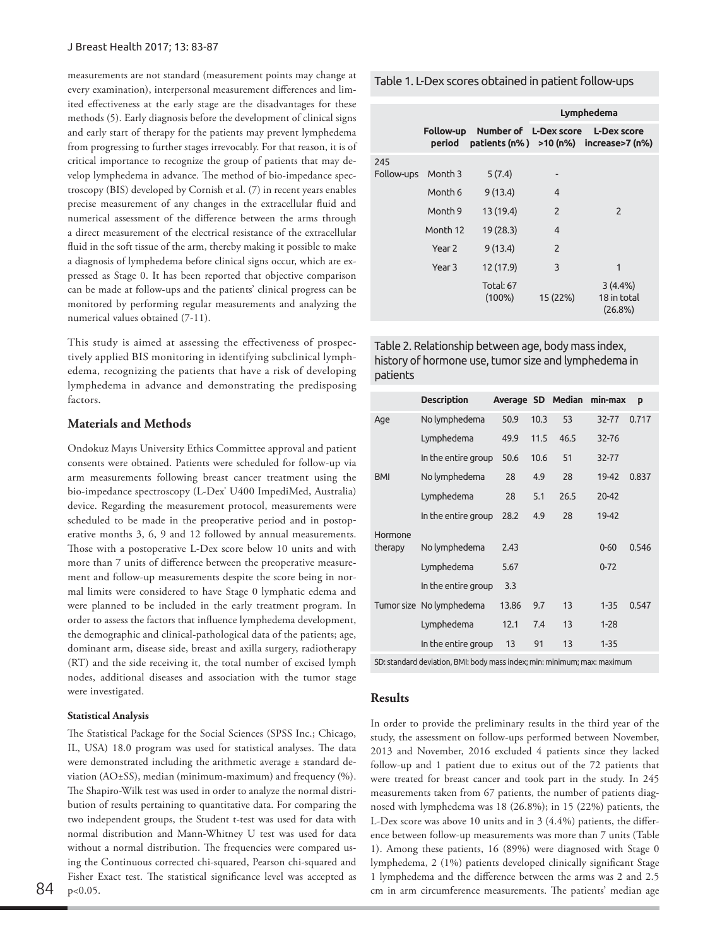measurements are not standard (measurement points may change at every examination), interpersonal measurement differences and limited effectiveness at the early stage are the disadvantages for these methods (5). Early diagnosis before the development of clinical signs and early start of therapy for the patients may prevent lymphedema from progressing to further stages irrevocably. For that reason, it is of critical importance to recognize the group of patients that may develop lymphedema in advance. The method of bio-impedance spectroscopy (BIS) developed by Cornish et al. (7) in recent years enables precise measurement of any changes in the extracellular fluid and numerical assessment of the difference between the arms through a direct measurement of the electrical resistance of the extracellular fluid in the soft tissue of the arm, thereby making it possible to make a diagnosis of lymphedema before clinical signs occur, which are expressed as Stage 0. It has been reported that objective comparison can be made at follow-ups and the patients' clinical progress can be monitored by performing regular measurements and analyzing the numerical values obtained (7-11).

This study is aimed at assessing the effectiveness of prospectively applied BIS monitoring in identifying subclinical lymphedema, recognizing the patients that have a risk of developing lymphedema in advance and demonstrating the predisposing factors.

# **Materials and Methods**

Ondokuz Mayıs University Ethics Committee approval and patient consents were obtained. Patients were scheduled for follow-up via arm measurements following breast cancer treatment using the bio-impedance spectroscopy (L-Dex<sup>°</sup> U400 ImpediMed, Australia) device. Regarding the measurement protocol, measurements were scheduled to be made in the preoperative period and in postoperative months 3, 6, 9 and 12 followed by annual measurements. Those with a postoperative L-Dex score below 10 units and with more than 7 units of difference between the preoperative measurement and follow-up measurements despite the score being in normal limits were considered to have Stage 0 lymphatic edema and were planned to be included in the early treatment program. In order to assess the factors that influence lymphedema development, the demographic and clinical-pathological data of the patients; age, dominant arm, disease side, breast and axilla surgery, radiotherapy (RT) and the side receiving it, the total number of excised lymph nodes, additional diseases and association with the tumor stage were investigated.

### **Statistical Analysis**

The Statistical Package for the Social Sciences (SPSS Inc.; Chicago, IL, USA) 18.0 program was used for statistical analyses. The data were demonstrated including the arithmetic average ± standard deviation (AO±SS), median (minimum-maximum) and frequency (%). The Shapiro-Wilk test was used in order to analyze the normal distribution of results pertaining to quantitative data. For comparing the two independent groups, the Student t-test was used for data with normal distribution and Mann-Whitney U test was used for data without a normal distribution. The frequencies were compared using the Continuous corrected chi-squared, Pearson chi-squared and Fisher Exact test. The statistical significance level was accepted as p<0.05.

Hormone

In the entire group 13 91 13 1-35 SD: standard deviation, BMI: body mass index; min: minimum; max: maximum

# **Results**

In order to provide the preliminary results in the third year of the study, the assessment on follow-ups performed between November, 2013 and November, 2016 excluded 4 patients since they lacked follow-up and 1 patient due to exitus out of the 72 patients that were treated for breast cancer and took part in the study. In 245 measurements taken from 67 patients, the number of patients diagnosed with lymphedema was 18 (26.8%); in 15 (22%) patients, the L-Dex score was above 10 units and in 3 (4.4%) patients, the difference between follow-up measurements was more than 7 units (Table 1). Among these patients, 16 (89%) were diagnosed with Stage 0 lymphedema, 2 (1%) patients developed clinically significant Stage 1 lymphedema and the difference between the arms was 2 and 2.5  $84$  p<0.05.  $84$  cm in arm circumference measurements. The patients' median age

|  | Table 1. L-Dex scores obtained in patient follow-ups |  |  |  |
|--|------------------------------------------------------|--|--|--|
|--|------------------------------------------------------|--|--|--|

|                    |                   |                                             | Lymphedema     |                                                 |  |
|--------------------|-------------------|---------------------------------------------|----------------|-------------------------------------------------|--|
|                    | period            | Follow-up Number of L-Dex score L-Dex score |                | patients $(n\%)$ >10 $(n\%)$ increase>7 $(n\%)$ |  |
| 245                |                   |                                             |                |                                                 |  |
| Follow-ups Month 3 |                   | 5(7.4)                                      |                |                                                 |  |
|                    | Month 6           | 9(13.4)                                     | $\overline{4}$ |                                                 |  |
|                    | Month 9           | 13 (19.4)                                   | 2              | 2                                               |  |
|                    | Month 12          | 19(28.3)                                    | $\overline{4}$ |                                                 |  |
|                    | Year <sub>2</sub> | 9(13.4)                                     | 2              |                                                 |  |
|                    | Year 3            | 12 (17.9)                                   | 3              | 1                                               |  |
|                    |                   | <b>Total: 67</b><br>$(100\%)$               | 15 (22%)       | 3(4.4%)<br>18 in total<br>(26.8%)               |  |

Table 2. Relationship between age, body mass index, history of hormone use, tumor size and lymphedema in patients

|            | <b>Description</b>       |       |      | Average SD Median | min-max  | p     |
|------------|--------------------------|-------|------|-------------------|----------|-------|
| Age        | No lymphedema            | 50.9  | 10.3 | 53                | 32-77    | 0.717 |
|            | Lymphedema               | 49.9  | 11.5 | 46.5              | 32-76    |       |
|            | In the entire group      | 50.6  | 10.6 | 51                | 32-77    |       |
| <b>BMI</b> | No lymphedema            | 28    | 4.9  | 28                | 19-42    | 0.837 |
|            | Lymphedema               | 28    | 5.1  | 26.5              | 20-42    |       |
|            | In the entire group      | 28.2  | 4.9  | 28                | 19-42    |       |
| Hormone    |                          |       |      |                   |          |       |
| therapy    | No lymphedema            | 2.43  |      |                   | $0 - 60$ | 0.546 |
|            | Lymphedema               | 5.67  |      |                   | $0 - 72$ |       |
|            | In the entire group      | 3.3   |      |                   |          |       |
|            | Tumor size No lymphedema | 13.86 | 9.7  | 13                | $1 - 35$ | 0.547 |
|            | Lymphedema               | 12.1  | 7.4  | 13                | $1 - 28$ |       |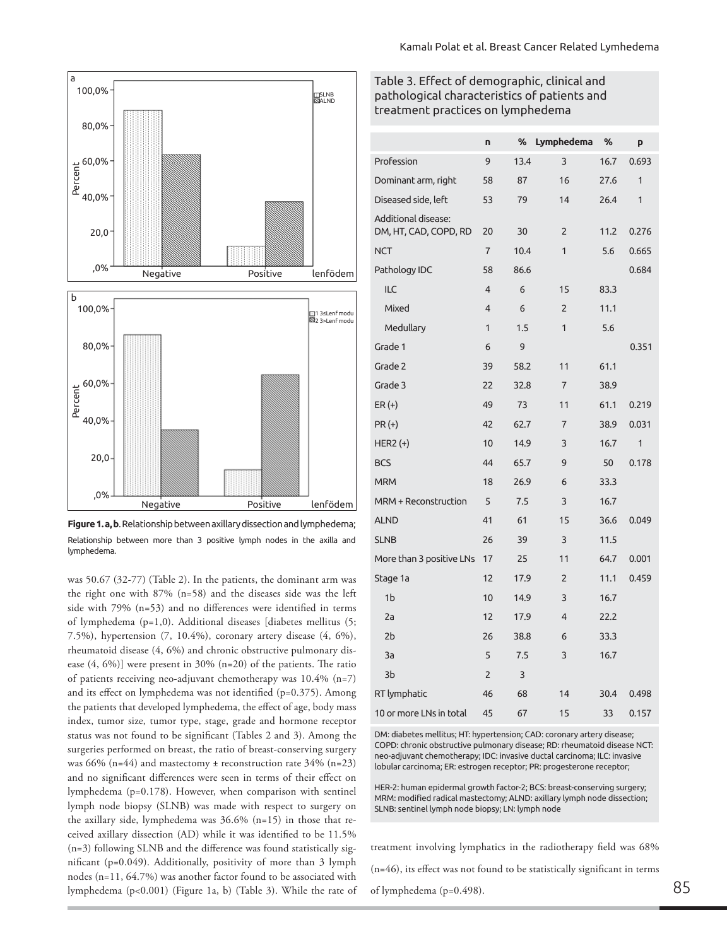





was 50.67 (32-77) (Table 2). In the patients, the dominant arm was the right one with 87% (n=58) and the diseases side was the left side with 79% (n=53) and no differences were identified in terms of lymphedema (p=1,0). Additional diseases [diabetes mellitus (5; 7.5%), hypertension (7, 10.4%), coronary artery disease (4, 6%), rheumatoid disease (4, 6%) and chronic obstructive pulmonary disease (4, 6%)] were present in 30% (n=20) of the patients. The ratio of patients receiving neo-adjuvant chemotherapy was 10.4% (n=7) and its effect on lymphedema was not identified (p=0.375). Among the patients that developed lymphedema, the effect of age, body mass index, tumor size, tumor type, stage, grade and hormone receptor status was not found to be significant (Tables 2 and 3). Among the surgeries performed on breast, the ratio of breast-conserving surgery was 66% (n=44) and mastectomy  $\pm$  reconstruction rate 34% (n=23) and no significant differences were seen in terms of their effect on lymphedema (p=0.178). However, when comparison with sentinel lymph node biopsy (SLNB) was made with respect to surgery on the axillary side, lymphedema was 36.6% (n=15) in those that received axillary dissection (AD) while it was identified to be 11.5% (n=3) following SLNB and the difference was found statistically significant (p=0.049). Additionally, positivity of more than 3 lymph nodes (n=11, 64.7%) was another factor found to be associated with lymphedema (p<0.001) (Figure 1a, b) (Table 3). While the rate of

# Table 3. Effect of demographic, clinical and pathological characteristics of patients and treatment practices on lymphedema

|                                              | n              | %    | Lymphedema     | %    | p            |
|----------------------------------------------|----------------|------|----------------|------|--------------|
| Profession                                   |                | 13.4 | 3              | 16.7 | 0.693        |
| Dominant arm, right                          | 58             | 87   | 16             | 27.6 | $\mathbf{1}$ |
| Diseased side, left                          | 53             | 79   | 14             | 26.4 | $\mathbf{1}$ |
| Additional disease:<br>DM, HT, CAD, COPD, RD | 20             | 30   | 2              | 11.2 | 0.276        |
| <b>NCT</b>                                   | $\overline{7}$ | 10.4 | $\overline{1}$ | 5.6  | 0.665        |
| Pathology IDC                                | 58             | 86.6 |                |      | 0.684        |
| ILC                                          | 4              | 6    | 15             | 83.3 |              |
| Mixed                                        | 4              | 6    | $\overline{2}$ | 11.1 |              |
| Medullary                                    | $\mathbf{1}$   | 1.5  | $\mathbf{1}$   | 5.6  |              |
| Grade 1                                      | 6              | 9    |                |      | 0.351        |
| Grade 2                                      | 39             | 58.2 | 11             | 61.1 |              |
| Grade 3                                      | 22             | 32.8 | $\overline{7}$ | 38.9 |              |
| $ER (+)$                                     | 49             | 73   | 11             | 61.1 | 0.219        |
| $PR(+)$                                      | 42             | 62.7 | $\overline{7}$ | 38.9 | 0.031        |
| HER2 $(+)$                                   | 10             | 14.9 | 3              | 16.7 | 1            |
| <b>BCS</b>                                   | 44             | 65.7 | 9              | 50   | 0.178        |
| <b>MRM</b>                                   | 18             | 26.9 | 6              | 33.3 |              |
| MRM + Reconstruction                         | 5              | 7.5  | 3              | 16.7 |              |
| <b>ALND</b>                                  | 41             | 61   | 15             | 36.6 | 0.049        |
| <b>SLNB</b>                                  | 26             | 39   | 3              | 11.5 |              |
| More than 3 positive LNs                     | 17             | 25   | 11             | 64.7 | 0.001        |
| Stage 1a                                     | 12             | 17.9 | $\overline{2}$ | 11.1 | 0.459        |
| 1 <sub>b</sub>                               | 10             | 14.9 | 3              | 16.7 |              |
| 2a                                           | 12             | 17.9 | 4              | 22.2 |              |
| 2b                                           | 26             | 38.8 | 6              | 33.3 |              |
| 3a                                           | 5              | 7.5  | 3              | 16.7 |              |
| 3b                                           | $\overline{2}$ | 3    |                |      |              |
| RT lymphatic                                 | 46             | 68   | 14             | 30.4 | 0.498        |
| 10 or more LNs in total                      | 45             | 67   | 15             | 33   | 0.157        |

DM: diabetes mellitus; HT: hypertension; CAD: coronary artery disease; COPD: chronic obstructive pulmonary disease; RD: rheumatoid disease NCT: neo-adjuvant chemotherapy; IDC: invasive ductal carcinoma; ILC: invasive lobular carcinoma; ER: estrogen receptor; PR: progesterone receptor;

HER-2: human epidermal growth factor-2; BCS: breast-conserving surgery; MRM: modified radical mastectomy; ALND: axillary lymph node dissection; SLNB: sentinel lymph node biopsy; LN: lymph node

treatment involving lymphatics in the radiotherapy field was 68% (n=46), its effect was not found to be statistically significant in terms of lymphedema ( $p=0.498$ ).  $85$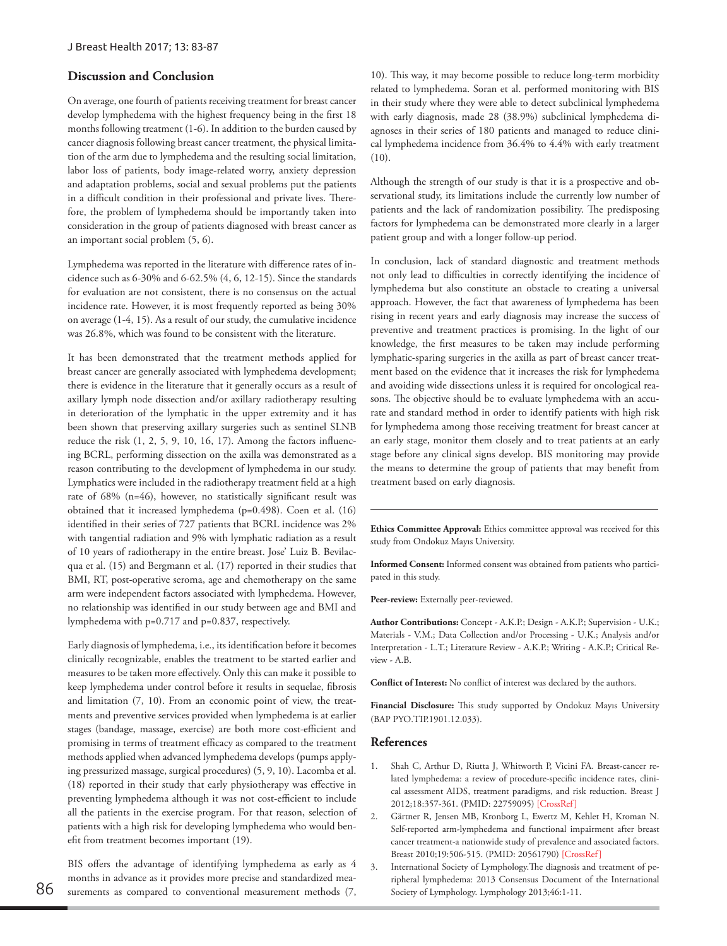## **Discussion and Conclusion**

On average, one fourth of patients receiving treatment for breast cancer develop lymphedema with the highest frequency being in the first 18 months following treatment (1-6). In addition to the burden caused by cancer diagnosis following breast cancer treatment, the physical limitation of the arm due to lymphedema and the resulting social limitation, labor loss of patients, body image-related worry, anxiety depression and adaptation problems, social and sexual problems put the patients in a difficult condition in their professional and private lives. Therefore, the problem of lymphedema should be importantly taken into consideration in the group of patients diagnosed with breast cancer as an important social problem (5, 6).

Lymphedema was reported in the literature with difference rates of incidence such as 6-30% and 6-62.5% (4, 6, 12-15). Since the standards for evaluation are not consistent, there is no consensus on the actual incidence rate. However, it is most frequently reported as being 30% on average (1-4, 15). As a result of our study, the cumulative incidence was 26.8%, which was found to be consistent with the literature.

It has been demonstrated that the treatment methods applied for breast cancer are generally associated with lymphedema development; there is evidence in the literature that it generally occurs as a result of axillary lymph node dissection and/or axillary radiotherapy resulting in deterioration of the lymphatic in the upper extremity and it has been shown that preserving axillary surgeries such as sentinel SLNB reduce the risk (1, 2, 5, 9, 10, 16, 17). Among the factors influencing BCRL, performing dissection on the axilla was demonstrated as a reason contributing to the development of lymphedema in our study. Lymphatics were included in the radiotherapy treatment field at a high rate of 68% (n=46), however, no statistically significant result was obtained that it increased lymphedema (p=0.498). Coen et al. (16) identified in their series of 727 patients that BCRL incidence was 2% with tangential radiation and 9% with lymphatic radiation as a result of 10 years of radiotherapy in the entire breast. Jose' Luiz B. Bevilacqua et al. (15) and Bergmann et al. (17) reported in their studies that BMI, RT, post-operative seroma, age and chemotherapy on the same arm were independent factors associated with lymphedema. However, no relationship was identified in our study between age and BMI and lymphedema with p=0.717 and p=0.837, respectively.

Early diagnosis of lymphedema, i.e., its identification before it becomes clinically recognizable, enables the treatment to be started earlier and measures to be taken more effectively. Only this can make it possible to keep lymphedema under control before it results in sequelae, fibrosis and limitation (7, 10). From an economic point of view, the treatments and preventive services provided when lymphedema is at earlier stages (bandage, massage, exercise) are both more cost-efficient and promising in terms of treatment efficacy as compared to the treatment methods applied when advanced lymphedema develops (pumps applying pressurized massage, surgical procedures) (5, 9, 10). Lacomba et al. (18) reported in their study that early physiotherapy was effective in preventing lymphedema although it was not cost-efficient to include all the patients in the exercise program. For that reason, selection of patients with a high risk for developing lymphedema who would benefit from treatment becomes important (19).

BIS offers the advantage of identifying lymphedema as early as 4 months in advance as it provides more precise and standardized mea-S6 surements as compared to conventional measurement methods (7, Society of Lymphology. Lymphology 2013;46:1-11.

10). This way, it may become possible to reduce long-term morbidity related to lymphedema. Soran et al. performed monitoring with BIS in their study where they were able to detect subclinical lymphedema with early diagnosis, made 28 (38.9%) subclinical lymphedema diagnoses in their series of 180 patients and managed to reduce clinical lymphedema incidence from 36.4% to 4.4% with early treatment (10).

Although the strength of our study is that it is a prospective and observational study, its limitations include the currently low number of patients and the lack of randomization possibility. The predisposing factors for lymphedema can be demonstrated more clearly in a larger patient group and with a longer follow-up period.

In conclusion, lack of standard diagnostic and treatment methods not only lead to difficulties in correctly identifying the incidence of lymphedema but also constitute an obstacle to creating a universal approach. However, the fact that awareness of lymphedema has been rising in recent years and early diagnosis may increase the success of preventive and treatment practices is promising. In the light of our knowledge, the first measures to be taken may include performing lymphatic-sparing surgeries in the axilla as part of breast cancer treatment based on the evidence that it increases the risk for lymphedema and avoiding wide dissections unless it is required for oncological reasons. The objective should be to evaluate lymphedema with an accurate and standard method in order to identify patients with high risk for lymphedema among those receiving treatment for breast cancer at an early stage, monitor them closely and to treat patients at an early stage before any clinical signs develop. BIS monitoring may provide the means to determine the group of patients that may benefit from treatment based on early diagnosis.

**Ethics Committee Approval:** Ethics committee approval was received for this study from Ondokuz Mayıs University.

**Informed Consent:** Informed consent was obtained from patients who participated in this study.

Peer-review: Externally peer-reviewed.

**Author Contributions:** Concept - A.K.P.; Design - A.K.P.; Supervision - U.K.; Materials - V.M.; Data Collection and/or Processing - U.K.; Analysis and/or Interpretation - L.T.; Literature Review - A.K.P.; Writing - A.K.P.; Critical Review - A.B.

**Conflict of Interest:** No conflict of interest was declared by the authors.

**Financial Disclosure:** This study supported by Ondokuz Mayıs University (BAP PYO.TIP.1901.12.033).

### **References**

- Shah C, Arthur D, Riutta J, Whitworth P, Vicini FA. Breast-cancer related lymphedema: a review of procedure-specific incidence rates, clinical assessment AIDS, treatment paradigms, and risk reduction. Breast J 2012;18:357-361. (PMID: 22759095) [[CrossRef](https://doi.org/10.1111/j.1524-4741.2012.01252.x)]
- 2. Gärtner R, Jensen MB, Kronborg L, Ewertz M, Kehlet H, Kroman N. Self-reported arm-lymphedema and functional impairment after breast cancer treatment-a nationwide study of prevalence and associated factors. Breast 2010;19:506-515. (PMID: 20561790) [\[CrossRef](https://doi.org/10.1016/j.breast.2010.05.015)]
- International Society of Lymphology. The diagnosis and treatment of peripheral lymphedema: 2013 Consensus Document of the International